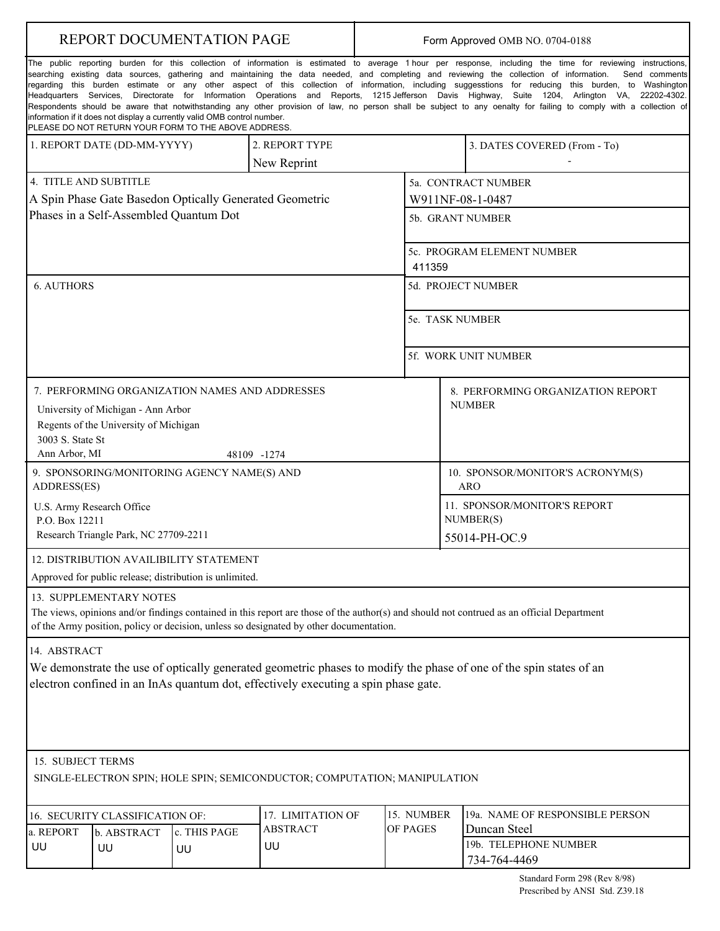| REPORT DOCUMENTATION PAGE                                                                                                                                                                                                                                                                                                                                                                                                                                                                                                                                                                                                                                                                                                                                                                                                                                                                                                                 |                   |                                                         |                                      | Form Approved OMB NO. 0704-0188 |                                                            |                                                 |  |
|-------------------------------------------------------------------------------------------------------------------------------------------------------------------------------------------------------------------------------------------------------------------------------------------------------------------------------------------------------------------------------------------------------------------------------------------------------------------------------------------------------------------------------------------------------------------------------------------------------------------------------------------------------------------------------------------------------------------------------------------------------------------------------------------------------------------------------------------------------------------------------------------------------------------------------------------|-------------------|---------------------------------------------------------|--------------------------------------|---------------------------------|------------------------------------------------------------|-------------------------------------------------|--|
| The public reporting burden for this collection of information is estimated to average 1 hour per response, including the time for reviewing instructions,<br>searching existing data sources, gathering and maintaining the data needed, and completing and reviewing the collection of information.<br>Send comments<br>regarding this burden estimate or any other aspect of this collection of information, including suggesstions for reducing this burden, to Washington<br>Headquarters Services, Directorate for Information Operations and Reports, 1215 Jefferson Davis Highway, Suite 1204, Arlington VA, 22202-4302.<br>Respondents should be aware that notwithstanding any other provision of law, no person shall be subject to any oenalty for failing to comply with a collection of<br>information if it does not display a currently valid OMB control number.<br>PLEASE DO NOT RETURN YOUR FORM TO THE ABOVE ADDRESS. |                   |                                                         |                                      |                                 |                                                            |                                                 |  |
| 1. REPORT DATE (DD-MM-YYYY)                                                                                                                                                                                                                                                                                                                                                                                                                                                                                                                                                                                                                                                                                                                                                                                                                                                                                                               |                   |                                                         | 2. REPORT TYPE<br>New Reprint        |                                 |                                                            | 3. DATES COVERED (From - To)                    |  |
| 4. TITLE AND SUBTITLE                                                                                                                                                                                                                                                                                                                                                                                                                                                                                                                                                                                                                                                                                                                                                                                                                                                                                                                     |                   | A Spin Phase Gate Basedon Optically Generated Geometric |                                      |                                 | 5a. CONTRACT NUMBER<br>W911NF-08-1-0487                    |                                                 |  |
| Phases in a Self-Assembled Quantum Dot                                                                                                                                                                                                                                                                                                                                                                                                                                                                                                                                                                                                                                                                                                                                                                                                                                                                                                    |                   |                                                         |                                      | 5b. GRANT NUMBER                |                                                            |                                                 |  |
|                                                                                                                                                                                                                                                                                                                                                                                                                                                                                                                                                                                                                                                                                                                                                                                                                                                                                                                                           |                   |                                                         |                                      |                                 | 5c. PROGRAM ELEMENT NUMBER<br>411359                       |                                                 |  |
| <b>6. AUTHORS</b>                                                                                                                                                                                                                                                                                                                                                                                                                                                                                                                                                                                                                                                                                                                                                                                                                                                                                                                         |                   |                                                         |                                      |                                 | 5d. PROJECT NUMBER                                         |                                                 |  |
|                                                                                                                                                                                                                                                                                                                                                                                                                                                                                                                                                                                                                                                                                                                                                                                                                                                                                                                                           |                   |                                                         |                                      | 5e. TASK NUMBER                 |                                                            |                                                 |  |
|                                                                                                                                                                                                                                                                                                                                                                                                                                                                                                                                                                                                                                                                                                                                                                                                                                                                                                                                           |                   |                                                         |                                      |                                 | 5f. WORK UNIT NUMBER                                       |                                                 |  |
| 7. PERFORMING ORGANIZATION NAMES AND ADDRESSES<br>8. PERFORMING ORGANIZATION REPORT<br><b>NUMBER</b><br>University of Michigan - Ann Arbor<br>Regents of the University of Michigan<br>3003 S. State St<br>Ann Arbor, MI<br>48109 -1274                                                                                                                                                                                                                                                                                                                                                                                                                                                                                                                                                                                                                                                                                                   |                   |                                                         |                                      |                                 |                                                            |                                                 |  |
| 9. SPONSORING/MONITORING AGENCY NAME(S) AND<br>ADDRESS(ES)                                                                                                                                                                                                                                                                                                                                                                                                                                                                                                                                                                                                                                                                                                                                                                                                                                                                                |                   |                                                         |                                      |                                 |                                                            | 10. SPONSOR/MONITOR'S ACRONYM(S)<br><b>ARO</b>  |  |
| U.S. Army Research Office<br>P.O. Box 12211<br>Research Triangle Park, NC 27709-2211                                                                                                                                                                                                                                                                                                                                                                                                                                                                                                                                                                                                                                                                                                                                                                                                                                                      |                   |                                                         |                                      |                                 | 11. SPONSOR/MONITOR'S REPORT<br>NUMBER(S)<br>55014-PH-OC.9 |                                                 |  |
| 12. DISTRIBUTION AVAILIBILITY STATEMENT                                                                                                                                                                                                                                                                                                                                                                                                                                                                                                                                                                                                                                                                                                                                                                                                                                                                                                   |                   |                                                         |                                      |                                 |                                                            |                                                 |  |
| Approved for public release; distribution is unlimited.<br>13. SUPPLEMENTARY NOTES                                                                                                                                                                                                                                                                                                                                                                                                                                                                                                                                                                                                                                                                                                                                                                                                                                                        |                   |                                                         |                                      |                                 |                                                            |                                                 |  |
| The views, opinions and/or findings contained in this report are those of the author(s) and should not contrued as an official Department<br>of the Army position, policy or decision, unless so designated by other documentation.                                                                                                                                                                                                                                                                                                                                                                                                                                                                                                                                                                                                                                                                                                       |                   |                                                         |                                      |                                 |                                                            |                                                 |  |
| 14. ABSTRACT<br>We demonstrate the use of optically generated geometric phases to modify the phase of one of the spin states of an<br>electron confined in an InAs quantum dot, effectively executing a spin phase gate.                                                                                                                                                                                                                                                                                                                                                                                                                                                                                                                                                                                                                                                                                                                  |                   |                                                         |                                      |                                 |                                                            |                                                 |  |
| 15. SUBJECT TERMS<br>SINGLE-ELECTRON SPIN; HOLE SPIN; SEMICONDUCTOR; COMPUTATION; MANIPULATION                                                                                                                                                                                                                                                                                                                                                                                                                                                                                                                                                                                                                                                                                                                                                                                                                                            |                   |                                                         |                                      |                                 |                                                            |                                                 |  |
| 16. SECURITY CLASSIFICATION OF:<br>c. THIS PAGE                                                                                                                                                                                                                                                                                                                                                                                                                                                                                                                                                                                                                                                                                                                                                                                                                                                                                           |                   |                                                         | 17. LIMITATION OF<br><b>ABSTRACT</b> | 15. NUMBER<br>OF PAGES          |                                                            | 19a. NAME OF RESPONSIBLE PERSON<br>Duncan Steel |  |
| a. REPORT<br>UU                                                                                                                                                                                                                                                                                                                                                                                                                                                                                                                                                                                                                                                                                                                                                                                                                                                                                                                           | b. ABSTRACT<br>UU | UU                                                      | UU                                   |                                 |                                                            | 19b. TELEPHONE NUMBER<br>734-764-4469           |  |
|                                                                                                                                                                                                                                                                                                                                                                                                                                                                                                                                                                                                                                                                                                                                                                                                                                                                                                                                           |                   |                                                         |                                      |                                 |                                                            |                                                 |  |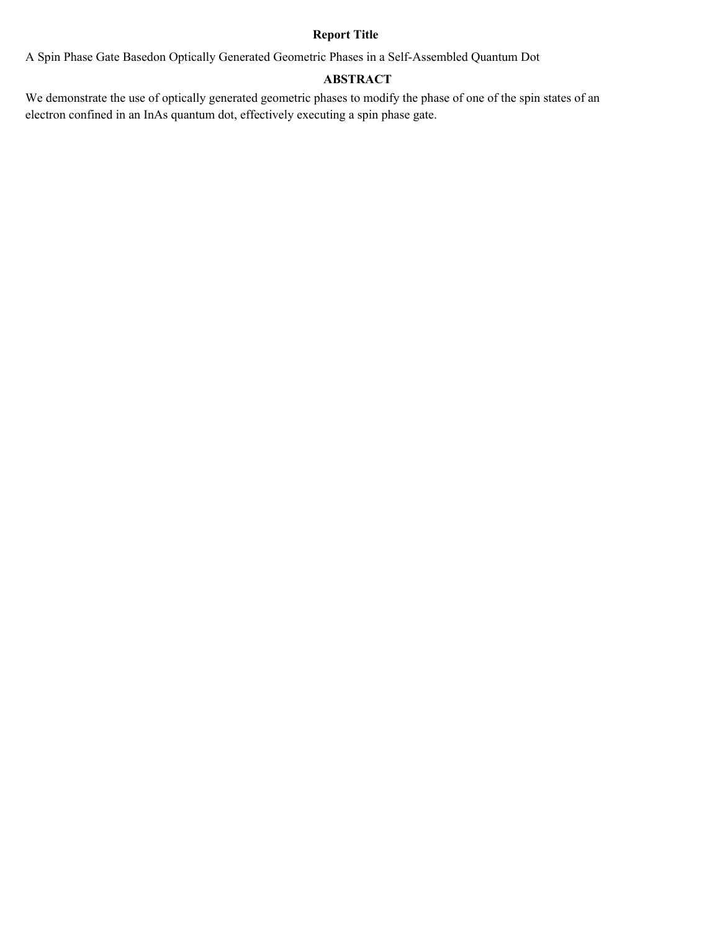## **Report Title**

A Spin Phase Gate Basedon Optically Generated Geometric Phases in a Self-Assembled Quantum Dot

### **ABSTRACT**

We demonstrate the use of optically generated geometric phases to modify the phase of one of the spin states of an electron confined in an InAs quantum dot, effectively executing a spin phase gate.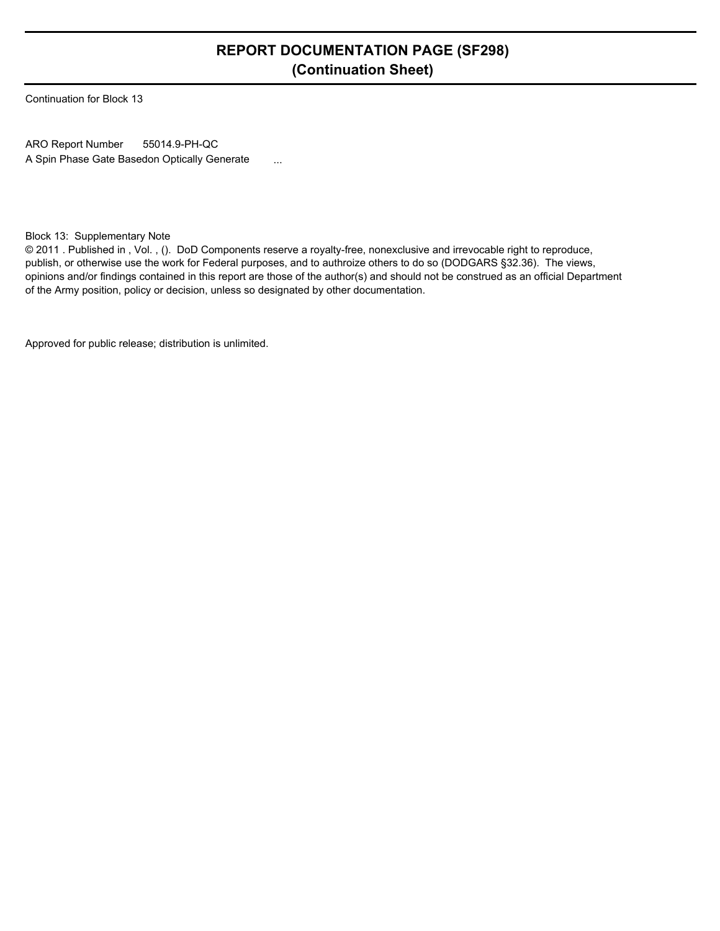# **REPORT DOCUMENTATION PAGE (SF298) (Continuation Sheet)**

Continuation for Block 13

ARO Report Number A Spin Phase Gate Basedon Optically Generate ... 55014.9-PH-QC

Block 13: Supplementary Note

© 2011 . Published in , Vol. , (). DoD Components reserve a royalty-free, nonexclusive and irrevocable right to reproduce, publish, or otherwise use the work for Federal purposes, and to authroize others to do so (DODGARS §32.36). The views, opinions and/or findings contained in this report are those of the author(s) and should not be construed as an official Department of the Army position, policy or decision, unless so designated by other documentation.

Approved for public release; distribution is unlimited.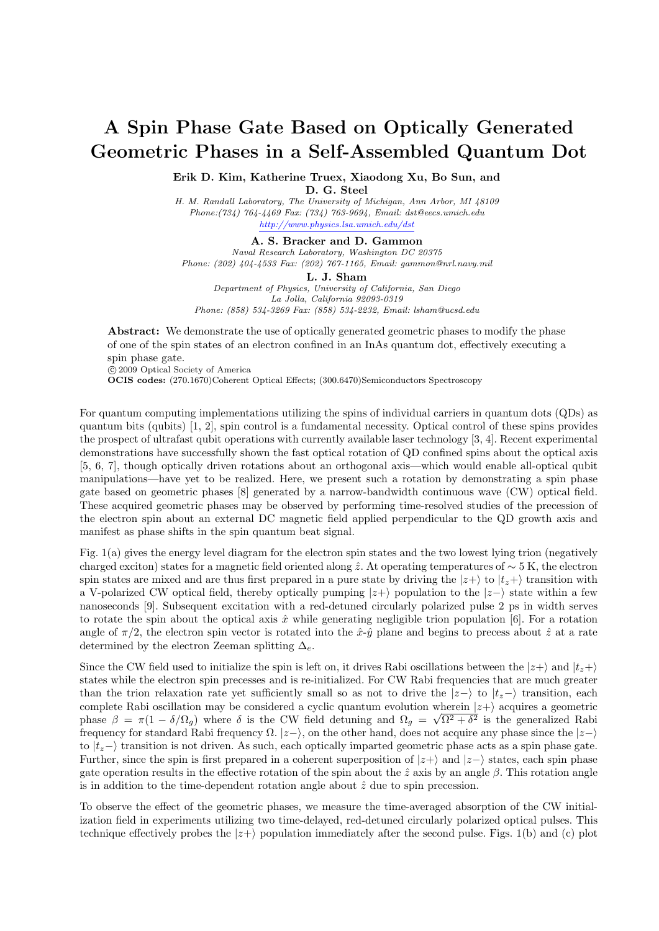# **A Spin Phase Gate Based on Optically Generated Geometric Phases in a Self-Assembled Quantum Dot**

**Erik D. Kim, Katherine Truex, Xiaodong Xu, Bo Sun, and**

**D. G. Steel**

*H. M. Randall Laboratory, The University of Michigan, Ann Arbor, MI 48109 Phone:(734) 764-4469 Fax: (734) 763-9694, Email: dst@eecs.umich.edu http://www.physics.lsa.umich.edu/dst*

**A. S. Bracker and D. Gammon** *Naval Research Laboratory, Washington DC 20375 Phone: (202) 404-4533 Fax: (202) 767-1165, Email: gammon@nrl.navy.mil*

**L. J. Sham**

*Department of Physics, University of California, San Diego La Jolla, California 92093-0319 Phone: (858) 534-3269 Fax: (858) 534-2232, Email: lsham@ucsd.edu*

Abstract: We demonstrate the use of optically generated geometric phases to modify the phase of one of the spin states of an electron confined in an InAs quantum dot, effectively executing a spin phase gate.

*⃝*c 2009 Optical Society of America

**OCIS codes:** (270.1670)Coherent Optical Effects; (300.6470)Semiconductors Spectroscopy

For quantum computing implementations utilizing the spins of individual carriers in quantum dots (QDs) as quantum bits (qubits) [1, 2], spin control is a fundamental necessity. Optical control of these spins provides the prospect of ultrafast qubit operations with currently available laser technology [3, 4]. Recent experimental demonstrations have successfully shown the fast optical rotation of QD confined spins about the optical axis [5, 6, 7], though optically driven rotations about an orthogonal axis—which would enable all-optical qubit manipulations—have yet to be realized. Here, we present such a rotation by demonstrating a spin phase gate based on geometric phases [8] generated by a narrow-bandwidth continuous wave (CW) optical field. These acquired geometric phases may be observed by performing time-resolved studies of the precession of the electron spin about an external DC magnetic field applied perpendicular to the QD growth axis and manifest as phase shifts in the spin quantum beat signal.

Fig. 1(a) gives the energy level diagram for the electron spin states and the two lowest lying trion (negatively charged exciton) states for a magnetic field oriented along ˆ*z*. At operating temperatures of *∼* 5 K, the electron spin states are mixed and are thus first prepared in a pure state by driving the  $|z+\rangle$  to  $|t_z+\rangle$  transition with a V-polarized CW optical field, thereby optically pumping *|z*+*⟩* population to the *|z−⟩* state within a few nanoseconds [9]. Subsequent excitation with a red-detuned circularly polarized pulse 2 ps in width serves to rotate the spin about the optical axis  $\hat{x}$  while generating negligible trion population [6]. For a rotation angle of  $\pi/2$ , the electron spin vector is rotated into the  $\hat{x}$ - $\hat{y}$  plane and begins to precess about  $\hat{z}$  at a rate determined by the electron Zeeman splitting  $\Delta_e$ .

Since the CW field used to initialize the spin is left on, it drives Rabi oscillations between the  $|z+\rangle$  and  $|t_z+\rangle$ states while the electron spin precesses and is re-initialized. For CW Rabi frequencies that are much greater than the trion relaxation rate yet sufficiently small so as not to drive the  $|z-\rangle$  to  $|t_z-\rangle$  transition, each complete Rabi oscillation may be considered a cyclic quantum evolution wherein *|z*+*⟩* acquires a geometric phase  $\beta = \pi(1 - \delta/\Omega_g)$  where  $\delta$  is the CW field detuning and  $\Omega_g = \sqrt{\Omega^2 + \delta^2}$  is the generalized Rabi frequency for standard Rabi frequency  $\Omega$ .  $|z-\rangle$ , on the other hand, does not acquire any phase since the  $|z-\rangle$ to *|tz−⟩* transition is not driven. As such, each optically imparted geometric phase acts as a spin phase gate. Further, since the spin is first prepared in a coherent superposition of *|z*+*⟩* and *|z−⟩* states, each spin phase gate operation results in the effective rotation of the spin about the  $\hat{z}$  axis by an angle  $\beta$ . This rotation angle is in addition to the time-dependent rotation angle about  $\hat{z}$  due to spin precession.

To observe the effect of the geometric phases, we measure the time-averaged absorption of the CW initialization field in experiments utilizing two time-delayed, red-detuned circularly polarized optical pulses. This technique effectively probes the  $|z+\rangle$  population immediately after the second pulse. Figs. 1(b) and (c) plot